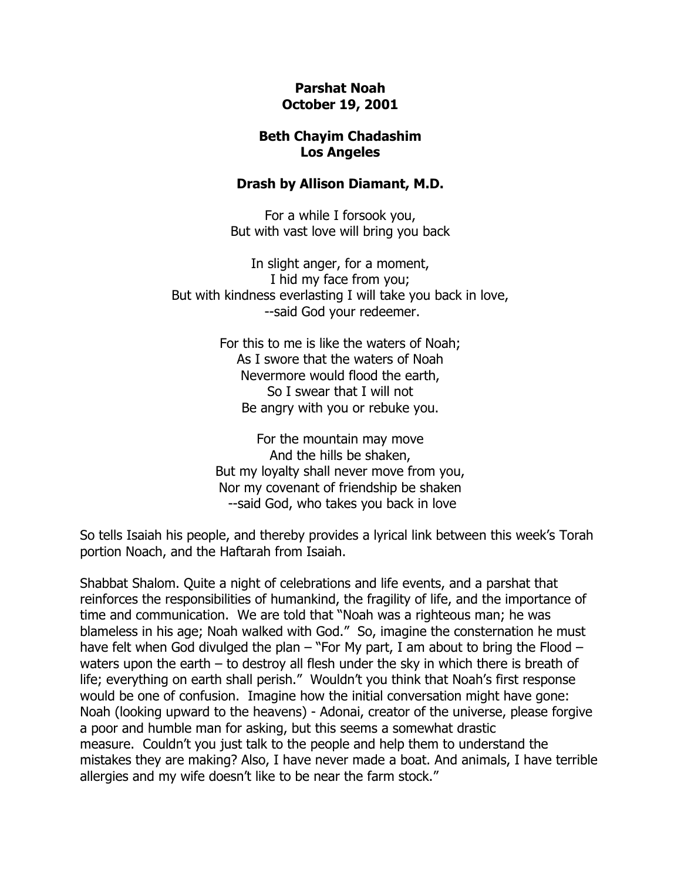## **Parshat Noah October 19, 2001**

## **Beth Chayim Chadashim Los Angeles**

## **Drash by Allison Diamant, M.D.**

For a while I forsook you, But with vast love will bring you back

In slight anger, for a moment, I hid my face from you; But with kindness everlasting I will take you back in love, --said God your redeemer.

> For this to me is like the waters of Noah; As I swore that the waters of Noah Nevermore would flood the earth, So I swear that I will not Be angry with you or rebuke you.

For the mountain may move And the hills be shaken, But my loyalty shall never move from you, Nor my covenant of friendship be shaken --said God, who takes you back in love

So tells Isaiah his people, and thereby provides a lyrical link between this week's Torah portion Noach, and the Haftarah from Isaiah.

Shabbat Shalom. Quite a night of celebrations and life events, and a parshat that reinforces the responsibilities of humankind, the fragility of life, and the importance of time and communication. We are told that "Noah was a righteous man; he was blameless in his age; Noah walked with God." So, imagine the consternation he must have felt when God divulged the plan – "For My part, I am about to bring the Flood – waters upon the earth – to destroy all flesh under the sky in which there is breath of life; everything on earth shall perish." Wouldn't you think that Noah's first response would be one of confusion. Imagine how the initial conversation might have gone: Noah (looking upward to the heavens) - Adonai, creator of the universe, please forgive a poor and humble man for asking, but this seems a somewhat drastic measure. Couldn't you just talk to the people and help them to understand the mistakes they are making? Also, I have never made a boat. And animals, I have terrible allergies and my wife doesn't like to be near the farm stock."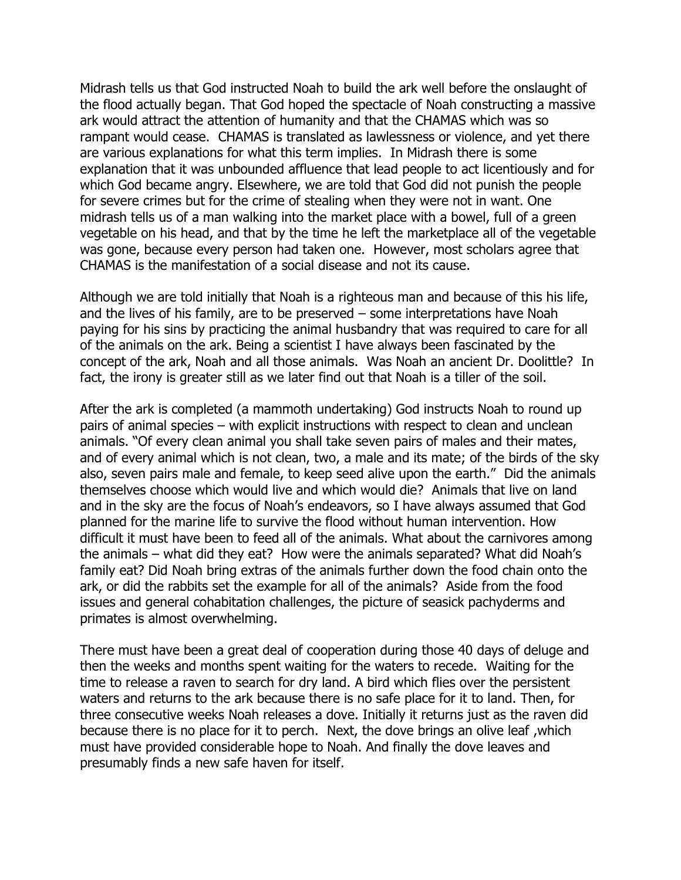Midrash tells us that God instructed Noah to build the ark well before the onslaught of the flood actually began. That God hoped the spectacle of Noah constructing a massive ark would attract the attention of humanity and that the CHAMAS which was so rampant would cease. CHAMAS is translated as lawlessness or violence, and yet there are various explanations for what this term implies. In Midrash there is some explanation that it was unbounded affluence that lead people to act licentiously and for which God became angry. Elsewhere, we are told that God did not punish the people for severe crimes but for the crime of stealing when they were not in want. One midrash tells us of a man walking into the market place with a bowel, full of a green vegetable on his head, and that by the time he left the marketplace all of the vegetable was gone, because every person had taken one. However, most scholars agree that CHAMAS is the manifestation of a social disease and not its cause.

Although we are told initially that Noah is a righteous man and because of this his life, and the lives of his family, are to be preserved – some interpretations have Noah paying for his sins by practicing the animal husbandry that was required to care for all of the animals on the ark. Being a scientist I have always been fascinated by the concept of the ark, Noah and all those animals. Was Noah an ancient Dr. Doolittle? In fact, the irony is greater still as we later find out that Noah is a tiller of the soil.

After the ark is completed (a mammoth undertaking) God instructs Noah to round up pairs of animal species – with explicit instructions with respect to clean and unclean animals. "Of every clean animal you shall take seven pairs of males and their mates, and of every animal which is not clean, two, a male and its mate; of the birds of the sky also, seven pairs male and female, to keep seed alive upon the earth." Did the animals themselves choose which would live and which would die? Animals that live on land and in the sky are the focus of Noah's endeavors, so I have always assumed that God planned for the marine life to survive the flood without human intervention. How difficult it must have been to feed all of the animals. What about the carnivores among the animals – what did they eat? How were the animals separated? What did Noah's family eat? Did Noah bring extras of the animals further down the food chain onto the ark, or did the rabbits set the example for all of the animals? Aside from the food issues and general cohabitation challenges, the picture of seasick pachyderms and primates is almost overwhelming.

There must have been a great deal of cooperation during those 40 days of deluge and then the weeks and months spent waiting for the waters to recede. Waiting for the time to release a raven to search for dry land. A bird which flies over the persistent waters and returns to the ark because there is no safe place for it to land. Then, for three consecutive weeks Noah releases a dove. Initially it returns just as the raven did because there is no place for it to perch. Next, the dove brings an olive leaf ,which must have provided considerable hope to Noah. And finally the dove leaves and presumably finds a new safe haven for itself.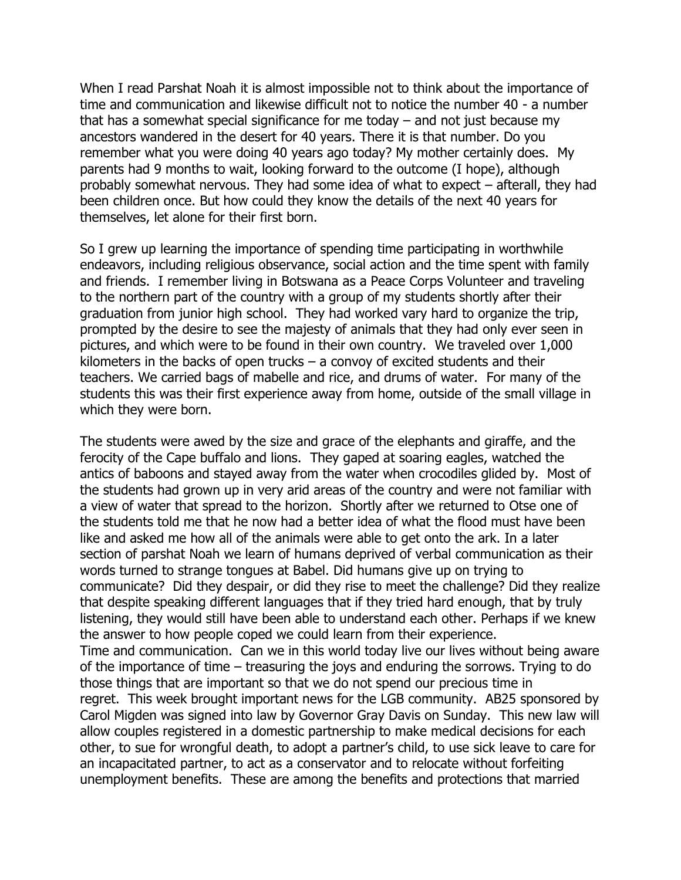When I read Parshat Noah it is almost impossible not to think about the importance of time and communication and likewise difficult not to notice the number 40 - a number that has a somewhat special significance for me today – and not just because my ancestors wandered in the desert for 40 years. There it is that number. Do you remember what you were doing 40 years ago today? My mother certainly does. My parents had 9 months to wait, looking forward to the outcome (I hope), although probably somewhat nervous. They had some idea of what to expect – afterall, they had been children once. But how could they know the details of the next 40 years for themselves, let alone for their first born.

So I grew up learning the importance of spending time participating in worthwhile endeavors, including religious observance, social action and the time spent with family and friends. I remember living in Botswana as a Peace Corps Volunteer and traveling to the northern part of the country with a group of my students shortly after their graduation from junior high school. They had worked vary hard to organize the trip, prompted by the desire to see the majesty of animals that they had only ever seen in pictures, and which were to be found in their own country. We traveled over 1,000 kilometers in the backs of open trucks  $-$  a convoy of excited students and their teachers. We carried bags of mabelle and rice, and drums of water. For many of the students this was their first experience away from home, outside of the small village in which they were born.

The students were awed by the size and grace of the elephants and giraffe, and the ferocity of the Cape buffalo and lions. They gaped at soaring eagles, watched the antics of baboons and stayed away from the water when crocodiles glided by. Most of the students had grown up in very arid areas of the country and were not familiar with a view of water that spread to the horizon. Shortly after we returned to Otse one of the students told me that he now had a better idea of what the flood must have been like and asked me how all of the animals were able to get onto the ark. In a later section of parshat Noah we learn of humans deprived of verbal communication as their words turned to strange tongues at Babel. Did humans give up on trying to communicate? Did they despair, or did they rise to meet the challenge? Did they realize that despite speaking different languages that if they tried hard enough, that by truly listening, they would still have been able to understand each other. Perhaps if we knew the answer to how people coped we could learn from their experience. Time and communication. Can we in this world today live our lives without being aware of the importance of time – treasuring the joys and enduring the sorrows. Trying to do those things that are important so that we do not spend our precious time in regret. This week brought important news for the LGB community. AB25 sponsored by Carol Migden was signed into law by Governor Gray Davis on Sunday. This new law will allow couples registered in a domestic partnership to make medical decisions for each other, to sue for wrongful death, to adopt a partner's child, to use sick leave to care for an incapacitated partner, to act as a conservator and to relocate without forfeiting unemployment benefits. These are among the benefits and protections that married